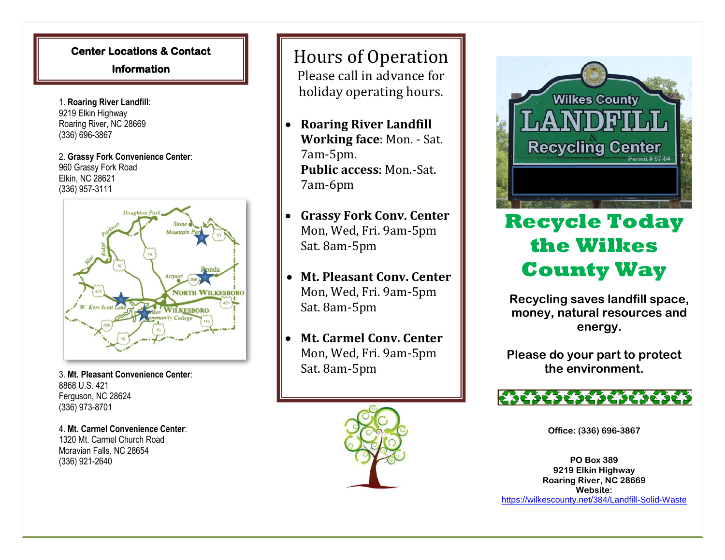## **Center Locations & Contact**

**Information** 

1. **Roaring River Landfill**: 9219 Elkin Highway Roaring River, NC 28669 (336) 696-3867

2. **Grassy Fork Convenience Center**: 960 Grassy Fork Road Elkin, NC 28621 (336) 957-3111



3. **Mt. Pleasant Convenience Center**: 8868 U.S. 421 Ferguson, NC 28624 (336) 973-8701

4. **Mt. Carmel Convenience Center**: 1320 Mt. Carmel Church Road Moravian Falls, NC 28654 (336) 921-2640

## Hours of Operation Please call in advance for

holiday operating hours.

- • **Roaring River Landfill Working face**: Mon. - Sat. 7am-5pm. **Public access**: Mon.-Sat. 7am-6pm
- • **Grassy Fork Conv. Center** Mon, Wed, Fri. 9am-5pm Sat. 8am-5pm
- • **Mt. Pleasant Conv. Center** Mon, Wed, Fri. 9am-5pm Sat. 8am-5pm
- • **Mt. Carmel Conv. Center** Mon, Wed, Fri. 9am-5pm Sat. 8am-5pm





## **Recycle Today the Wilkes County Way**

**Recycling saves landfill space, money, natural resources and energy.**

**Please do your part to protect the environment.**



**Office: (336) 696-3867**

**PO Box 389 9219 Elkin Highway Roaring River, NC 28669 Website:** https://wilkescounty.net/384/Landfill-Solid-Waste